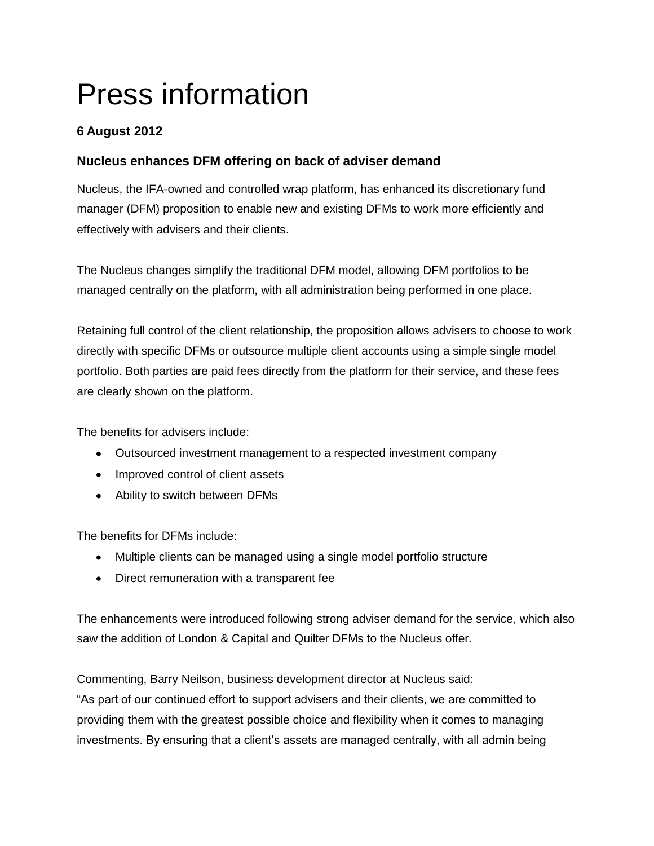# Press information

## **6 August 2012**

## **Nucleus enhances DFM offering on back of adviser demand**

Nucleus, the IFA-owned and controlled wrap platform, has enhanced its discretionary fund manager (DFM) proposition to enable new and existing DFMs to work more efficiently and effectively with advisers and their clients.

The Nucleus changes simplify the traditional DFM model, allowing DFM portfolios to be managed centrally on the platform, with all administration being performed in one place.

Retaining full control of the client relationship, the proposition allows advisers to choose to work directly with specific DFMs or outsource multiple client accounts using a simple single model portfolio. Both parties are paid fees directly from the platform for their service, and these fees are clearly shown on the platform.

The benefits for advisers include:

- Outsourced investment management to a respected investment company
- Improved control of client assets
- Ability to switch between DFMs

The benefits for DFMs include:

- Multiple clients can be managed using a single model portfolio structure
- Direct remuneration with a transparent fee

The enhancements were introduced following strong adviser demand for the service, which also saw the addition of London & Capital and Quilter DFMs to the Nucleus offer.

Commenting, Barry Neilson, business development director at Nucleus said:

"As part of our continued effort to support advisers and their clients, we are committed to providing them with the greatest possible choice and flexibility when it comes to managing investments. By ensuring that a client's assets are managed centrally, with all admin being